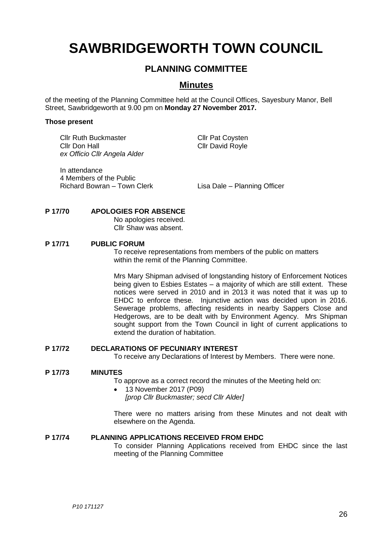# **SAWBRIDGEWORTH TOWN COUNCIL**

# **PLANNING COMMITTEE**

# **Minutes**

of the meeting of the Planning Committee held at the Council Offices, Sayesbury Manor, Bell Street, Sawbridgeworth at 9.00 pm on **Monday 27 November 2017.**

#### **Those present**

Cllr Ruth Buckmaster Cllr Pat Coysten Cllr Don Hall Cllr David Royle *ex Officio Cllr Angela Alder*

In attendance 4 Members of the Public Richard Bowran – Town Clerk Lisa Dale – Planning Officer

#### **P 17/70 APOLOGIES FOR ABSENCE**

No apologies received. Cllr Shaw was absent.

#### **P 17/71 PUBLIC FORUM**

To receive representations from members of the public on matters within the remit of the Planning Committee.

Mrs Mary Shipman advised of longstanding history of Enforcement Notices being given to Esbies Estates – a majority of which are still extent. These notices were served in 2010 and in 2013 it was noted that it was up to EHDC to enforce these. Injunctive action was decided upon in 2016. Sewerage problems, affecting residents in nearby Sappers Close and Hedgerows, are to be dealt with by Environment Agency. Mrs Shipman sought support from the Town Council in light of current applications to extend the duration of habitation.

#### **P 17/72 DECLARATIONS OF PECUNIARY INTEREST**

To receive any Declarations of Interest by Members. There were none.

#### **P 17/73 MINUTES**

To approve as a correct record the minutes of the Meeting held on:

 13 November 2017 (P09) *[prop Cllr Buckmaster; secd Cllr Alder]*

There were no matters arising from these Minutes and not dealt with elsewhere on the Agenda.

#### **P 17/74 PLANNING APPLICATIONS RECEIVED FROM EHDC**

To consider Planning Applications received from EHDC since the last meeting of the Planning Committee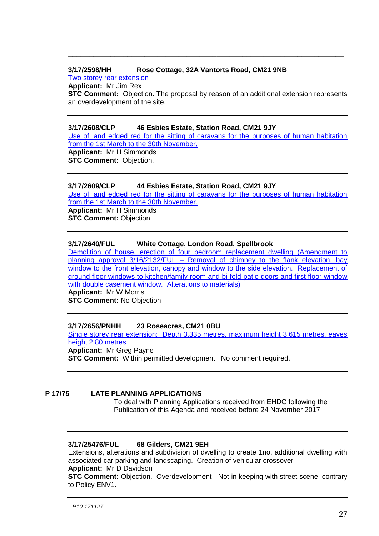## **3/17/2598/HH Rose Cottage, 32A Vantorts Road, CM21 9NB**

[Two storey rear extension](https://publicaccess.eastherts.gov.uk/online-applications/applicationDetails.do?keyVal=OYZW1IGLJ8E00&activeTab=summary)

**Applicant:** Mr Jim Rex

**STC Comment:** Objection. The proposal by reason of an additional extension represents an overdevelopment of the site.

**\_\_\_\_\_\_\_\_\_\_\_\_\_\_\_\_\_\_\_\_\_\_\_\_\_\_\_\_\_\_\_\_\_\_\_\_\_\_\_\_\_\_\_\_\_\_\_\_\_\_\_\_\_\_\_\_\_\_\_\_\_\_\_\_\_**

#### **3/17/2608/CLP 46 Esbies Estate, Station Road, CM21 9JY**

[Use of land edged red for the sitting of caravans for the purposes of human habitation](https://publicaccess.eastherts.gov.uk/online-applications/applicationDetails.do?activeTab=documents&keyVal=OZ1FMPGLJ9600)  [from the 1st March to the 30th November](https://publicaccess.eastherts.gov.uk/online-applications/applicationDetails.do?activeTab=documents&keyVal=OZ1FMPGLJ9600). **Applicant:** Mr H Simmonds **STC Comment: Objection.** 

#### **3/17/2609/CLP 44 Esbies Estate, Station Road, CM21 9JY**

[Use of land edged red for the sitting of caravans for the purposes of human habitation](https://publicaccess.eastherts.gov.uk/online-applications/applicationDetails.do?activeTab=documents&keyVal=OZ1FMXGLJ9800)  [from the 1st March to the 30th November.](https://publicaccess.eastherts.gov.uk/online-applications/applicationDetails.do?activeTab=documents&keyVal=OZ1FMXGLJ9800)

**Applicant:** Mr H Simmonds **STC Comment: Objection.** 

#### **3/17/2640/FUL White Cottage, London Road, Spellbrook**

[Demolition of house, erection of four bedroom replacement dwelling \(Amendment to](https://publicaccess.eastherts.gov.uk/online-applications/applicationDetails.do?keyVal=OZ6ZMFGLJBA00&activeTab=summary)  planning approval 3/16/2132/FUL – [Removal of chimney to the flank elevation, bay](https://publicaccess.eastherts.gov.uk/online-applications/applicationDetails.do?keyVal=OZ6ZMFGLJBA00&activeTab=summary)  [window to the front elevation, canopy and window to the side elevation. Replacement of](https://publicaccess.eastherts.gov.uk/online-applications/applicationDetails.do?keyVal=OZ6ZMFGLJBA00&activeTab=summary)  [ground floor windows to kitchen/family room and bi-fold patio doors and first floor window](https://publicaccess.eastherts.gov.uk/online-applications/applicationDetails.do?keyVal=OZ6ZMFGLJBA00&activeTab=summary)  [with double casement window. Alterations to materials\)](https://publicaccess.eastherts.gov.uk/online-applications/applicationDetails.do?keyVal=OZ6ZMFGLJBA00&activeTab=summary) **Applicant:** Mr W Morris **STC Comment:** No Objection

#### **3/17/2656/PNHH 23 Roseacres, CM21 0BU**

[Single storey rear extension: Depth 3.335 metres, maximum height 3.615 metres, eaves](https://publicaccess.eastherts.gov.uk/online-applications/applicationDetails.do?keyVal=OZCZFJGL00W00&activeTab=summary)  [height 2.80 metres](https://publicaccess.eastherts.gov.uk/online-applications/applicationDetails.do?keyVal=OZCZFJGL00W00&activeTab=summary) **Applicant:** Mr Greg Payne

**STC Comment:** Within permitted development. No comment required.

#### **P 17/75 LATE PLANNING APPLICATIONS**

To deal with Planning Applications received from EHDC following the Publication of this Agenda and received before 24 November 2017

### **3/17/25476/FUL 68 Gilders, CM21 9EH**

Extensions, alterations and subdivision of dwelling to create 1no. additional dwelling with associated car parking and landscaping. Creation of vehicular crossover **Applicant:** Mr D Davidson

**STC Comment:** Objection. Overdevelopment - Not in keeping with street scene; contrary to Policy ENV1.